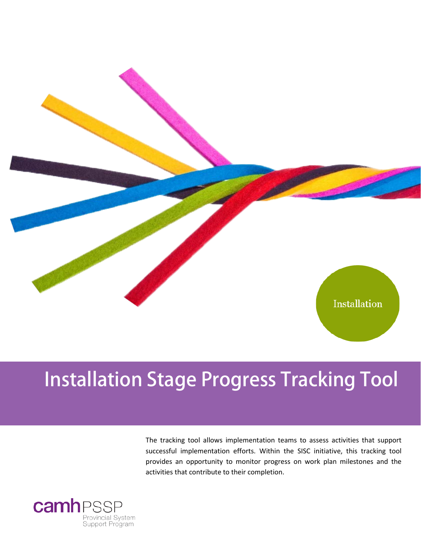

## **Installation Stage Progress Tracking Tool**

The tracking tool allows implementation teams to assess activities that support successful implementation efforts. Within the SISC initiative, this tracking tool provides an opportunity to monitor progress on work plan milestones and the activities that contribute to their completion.

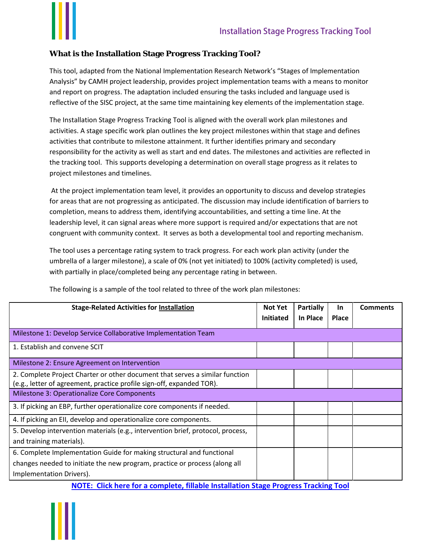

## **What is the Installation Stage Progress Tracking Tool?**

This tool, adapted from the National Implementation Research Network's "Stages of Implementation Analysis" by CAMH project leadership, provides project implementation teams with a means to monitor and report on progress. The adaptation included ensuring the tasks included and language used is reflective of the SISC project, at the same time maintaining key elements of the implementation stage.

The Installation Stage Progress Tracking Tool is aligned with the overall work plan milestones and activities. A stage specific work plan outlines the key project milestones within that stage and defines activities that contribute to milestone attainment. It further identifies primary and secondary responsibility for the activity as well as start and end dates. The milestones and activities are reflected in the tracking tool. This supports developing a determination on overall stage progress as it relates to project milestones and timelines.

At the project implementation team level, it provides an opportunity to discuss and develop strategies for areas that are not progressing as anticipated. The discussion may include identification of barriers to completion, means to address them, identifying accountabilities, and setting a time line. At the leadership level, it can signal areas where more support is required and/or expectations that are not congruent with community context. It serves as both a developmental tool and reporting mechanism.

The tool uses a percentage rating system to track progress. For each work plan activity (under the umbrella of a larger milestone), a scale of 0% (not yet initiated) to 100% (activity completed) is used, with partially in place/completed being any percentage rating in between.

| <b>Stage-Related Activities for Installation</b>                                           | <b>Not Yet</b>   | <b>Partially</b><br>In Place | <b>In</b>    | <b>Comments</b> |
|--------------------------------------------------------------------------------------------|------------------|------------------------------|--------------|-----------------|
|                                                                                            | <b>Initiated</b> |                              | <b>Place</b> |                 |
| Milestone 1: Develop Service Collaborative Implementation Team                             |                  |                              |              |                 |
| 1. Establish and convene SCIT                                                              |                  |                              |              |                 |
| Milestone 2: Ensure Agreement on Intervention                                              |                  |                              |              |                 |
| 2. Complete Project Charter or other document that serves a similar function               |                  |                              |              |                 |
| (e.g., letter of agreement, practice profile sign-off, expanded TOR).                      |                  |                              |              |                 |
| Milestone 3: Operationalize Core Components                                                |                  |                              |              |                 |
| 3. If picking an EBP, further operationalize core components if needed.                    |                  |                              |              |                 |
| 4. If picking an EII, develop and operationalize core components.                          |                  |                              |              |                 |
| 5. Develop intervention materials (e.g., intervention brief, protocol, process,            |                  |                              |              |                 |
| and training materials).                                                                   |                  |                              |              |                 |
| 6. Complete Implementation Guide for making structural and functional                      |                  |                              |              |                 |
| changes needed to initiate the new program, practice or process (along all                 |                  |                              |              |                 |
| Implementation Drivers).                                                                   |                  |                              |              |                 |
| <b>NOTE:</b> Click here for a complete, fillable Installation Stage Progress Tracking Tool |                  |                              |              |                 |

The following is a sample of the tool related to three of the work plan milestones: